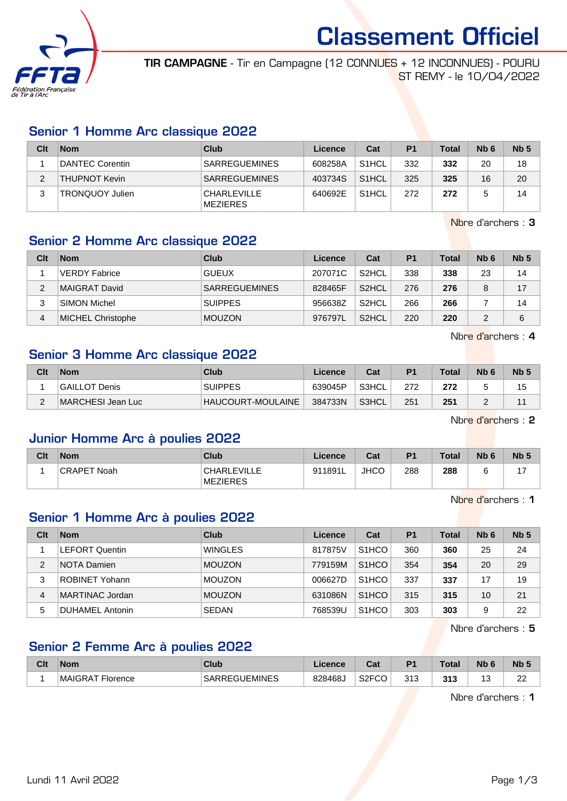

Classement Officiel

TIR CAMPAGNE - Tir en Campagne (12 CONNUES + 12 INCONNUES) - POURU ST REMY - le 10/04/2022

#### Senior 1 Homme Arc classique 2022

| Clt | <b>Nom</b>             | Club                           | Licence | Cat                | P <sub>1</sub> | <b>Total</b> | N <sub>b</sub> 6 | Nb <sub>5</sub> |
|-----|------------------------|--------------------------------|---------|--------------------|----------------|--------------|------------------|-----------------|
|     | <b>DANTEC Corentin</b> | <b>SARREGUEMINES</b>           | 608258A | S <sub>1</sub> HCL | 332            | 332          | 20               | 18              |
|     | <b>THUPNOT Kevin</b>   | <b>SARREGUEMINES</b>           | 403734S | S <sub>1</sub> HCL | 325            | 325          | 16               | 20              |
|     | <b>TRONQUOY Julien</b> | <b>CHARLEVILLE</b><br>MEZIERES | 640692E | S <sub>1</sub> HCL | 272            | 272          |                  | 14              |

Nbre d'archers : 3

### Senior 2 Homme Arc classique 2022

| Clt | <b>Nom</b>               | Club                 | Licence | Cat                | P <sub>1</sub> | Total | N <sub>b</sub> 6 | Nb <sub>5</sub> |
|-----|--------------------------|----------------------|---------|--------------------|----------------|-------|------------------|-----------------|
|     | <b>VERDY Fabrice</b>     | <b>GUEUX</b>         | 207071C | S <sub>2</sub> HCL | 338            | 338   | 23               | 14              |
| っ   | <b>MAIGRAT David</b>     | <b>SARREGUEMINES</b> | 828465F | S <sub>2</sub> HCL | 276            | 276   | 8                | 17              |
| 3   | <b>SIMON Michel</b>      | <b>SUIPPES</b>       | 956638Z | S <sub>2</sub> HCL | 266            | 266   |                  | 14              |
| 4   | <b>MICHEL Christophe</b> | <b>MOUZON</b>        | 976797L | S <sub>2</sub> HCL | 220            | 220   | っ                | 6               |

Nbre d'archers : 4

# Senior 3 Homme Arc classique 2022

| Clt | <b>Nom</b>        | Club                     | Licence | Cat   | P <sub>1</sub> | <b>Total</b> | N <sub>b</sub> <sub>6</sub> | N <sub>b</sub> |
|-----|-------------------|--------------------------|---------|-------|----------------|--------------|-----------------------------|----------------|
|     | GAILLOT Denis     | <b>SUIPPES</b>           | 639045P | S3HCL | 272            | 272          |                             | 15             |
|     | MARCHESI Jean Luc | <b>HAUCOURT-MOULAINE</b> | 384733N | S3HCL | 251            | 251          |                             |                |

Nbre d'archers : 2

#### Junior Homme Arc à poulies 2022

| Clt | <b>Nom</b>         | Club                           | Licence | Cat         | P <sub>1</sub> | <b>Total</b> | N <sub>b</sub> 6 | Nb <sub>5</sub> |
|-----|--------------------|--------------------------------|---------|-------------|----------------|--------------|------------------|-----------------|
|     | <b>CRAPET Noah</b> | <b>CHARLEVILLE</b><br>MEZIERES | 911891L | <b>JHCO</b> | 288            | 288          |                  | $4 -$           |

Nbre d'archers : 1

# Senior 1 Homme Arc à poulies 2022

| Clt | <b>Nom</b>             | Club           | Licence | Cat                | <b>P1</b> | <b>Total</b> | N <sub>b</sub> 6 | Nb <sub>5</sub> |
|-----|------------------------|----------------|---------|--------------------|-----------|--------------|------------------|-----------------|
|     | <b>LEFORT Quentin</b>  | <b>WINGLES</b> | 817875V | S <sub>1</sub> HCO | 360       | 360          | 25               | 24              |
| 2   | NOTA Damien            | <b>MOUZON</b>  | 779159M | S <sub>1</sub> HCO | 354       | 354          | 20               | 29              |
| 3   | <b>ROBINET Yohann</b>  | <b>MOUZON</b>  | 006627D | S <sub>1</sub> HCO | 337       | 337          | 17               | 19              |
| 4   | <b>MARTINAC Jordan</b> | <b>MOUZON</b>  | 631086N | S <sub>1</sub> HCO | 315       | 315          | 10               | 21              |
| 5   | DUHAMEL Antonin        | <b>SEDAN</b>   | 768539U | S <sub>1</sub> HCO | 303       | 303          | 9                | 22              |

Nbre d'archers : 5

## Senior 2 Femme Arc à poulies 2022

| Clt | <b>Nom</b>       | <b>Club</b>          | Licence | $R_{\rm{eff}}$<br>ual | D <sub>4</sub> | $\tau$ otal | <b>N<sub>b</sub></b> | N <sub>b</sub> 5 |
|-----|------------------|----------------------|---------|-----------------------|----------------|-------------|----------------------|------------------|
|     | MAIGRAT Florence | <b>SARREGUEMINES</b> | 828468J | S <sub>2</sub> FCO    | 313            | 313         | ັ                    | nn<br>22         |

Nbre d'archers : 1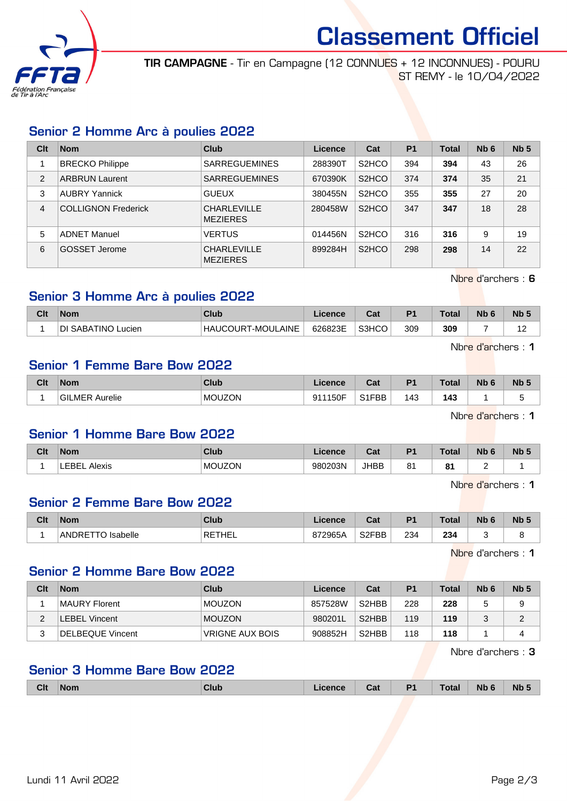

# Classement Officiel

TIR CAMPAGNE - Tir en Campagne (12 CONNUES + 12 INCONNUES) - POURU ST REMY - le 10/04/2022

#### Senior 2 Homme Arc à poulies 2022

| Clt            | <b>Nom</b>                 | Club                                  | Licence | Cat                             | <b>P1</b> | <b>Total</b> | Nb <sub>6</sub> | Nb <sub>5</sub> |
|----------------|----------------------------|---------------------------------------|---------|---------------------------------|-----------|--------------|-----------------|-----------------|
|                | <b>BRECKO Philippe</b>     | <b>SARREGUEMINES</b>                  | 288390T | S <sub>2</sub> HCO              | 394       | 394          | 43              | 26              |
| $\overline{2}$ | <b>ARBRUN Laurent</b>      | <b>SARREGUEMINES</b>                  | 670390K | S <sub>2</sub> HCO              | 374       | 374          | 35              | 21              |
| 3              | <b>AUBRY Yannick</b>       | <b>GUEUX</b>                          | 380455N | S <sub>2</sub> HCO              | 355       | 355          | 27              | 20              |
| 4              | <b>COLLIGNON Frederick</b> | <b>CHARLEVILLE</b><br><b>MEZIERES</b> | 280458W | S <sub>2</sub> H <sub>C</sub> O | 347       | 347          | 18              | 28              |
| 5              | <b>ADNET Manuel</b>        | <b>VERTUS</b>                         | 014456N | S <sub>2</sub> H <sub>CO</sub>  | 316       | 316          | 9               | 19              |
| 6              | GOSSET Jerome              | <b>CHARLEVILLE</b><br><b>MEZIERES</b> | 899284H | S <sub>2</sub> H <sub>C</sub> O | 298       | 298          | 14              | 22              |

Nbre d'archers : 6

#### Senior 3 Homme Arc à poulies 2022

| Clt | <b>Nom</b>         | Club                          | <b>Licence</b> | ◠ञ<br>va. | P <sup>4</sup> | Total | Nb 6 | <b>Nb</b> |
|-----|--------------------|-------------------------------|----------------|-----------|----------------|-------|------|-----------|
|     | DI SABATINO Lucien | T-MOULAINE<br><b>HAUCOURT</b> | 626823E        | S3HCO     | 309            | 309   |      |           |

Nbre d'archers : 1

#### Senior 1 Femme Bare Bow 2022

| Clt | <b>Nom</b>               | <b>Club</b>   | icence              | ่กื้อ≰<br>⊍d | D <sub>1</sub> | <b>Total</b> | Nb | <b>Nb</b> |
|-----|--------------------------|---------------|---------------------|--------------|----------------|--------------|----|-----------|
|     | Aurelie<br><b>GILMER</b> | <b>MOUZON</b> | <b>1150F</b><br>Q11 | S1FBB        | 143            | <br>143      |    |           |

Nbre d'archers : 1

### Senior 1 Homme Bare Bow 2022

| Clt | <b>Nom</b>      | Club          | <b>Trence</b> | Col.<br>val | D <sub>4</sub> | Total                               | Nb 6 | <b>Nb</b> |
|-----|-----------------|---------------|---------------|-------------|----------------|-------------------------------------|------|-----------|
|     | LEBEL<br>Alexis | <b>MOUZON</b> | 980203N       | <b>JHBB</b> | 04<br>۰        | $^{\circ}$<br>$\bullet$ .<br>$\sim$ | -    |           |

Nbre d'archers : 1

#### Senior 2 Femme Bare Bow 2022

| Clt | <b>Nom</b>               | Club   | <b>Licence</b> | r.,<br>va.         | D <sub>4</sub> | <b>Total</b> | Nb | <b>Nb</b> |
|-----|--------------------------|--------|----------------|--------------------|----------------|--------------|----|-----------|
|     | Isabelle<br>ANDRE I<br>ີ | RETHEL | 872965A        | S <sub>2</sub> FBB | 234            | 234          |    |           |

Nbre d'archers : 1

### Senior 2 Homme Bare Bow 2022

| Clt    | <b>Nom</b>       | Club                   | Licence | Cat                | P <sub>1</sub> | <b>Total</b> | N <sub>b</sub> 6 | Nb <sub>5</sub> |
|--------|------------------|------------------------|---------|--------------------|----------------|--------------|------------------|-----------------|
|        | MAURY Florent    | <b>MOUZON</b>          | 857528W | S <sub>2</sub> HBB | 228            | 228          |                  |                 |
| $\sim$ | LEBEL Vincent    | <b>MOUZON</b>          | 980201L | S <sub>2</sub> HBB | 119            | 119          |                  | ົ               |
| 2      | DELBEQUE Vincent | <b>VRIGNE AUX BOIS</b> | 908852H | S <sub>2</sub> HBB | 118            | 118          |                  |                 |

Nbre d'archers : 3

### Senior 3 Homme Bare Bow 2022

|  | Clt | <b>Nom</b> | Club | cence | Cat | D <sub>1</sub> | <b>Total</b> | <b>N<sub>h</sub></b><br>. . | <b>N<sub>b</sub></b> |
|--|-----|------------|------|-------|-----|----------------|--------------|-----------------------------|----------------------|
|--|-----|------------|------|-------|-----|----------------|--------------|-----------------------------|----------------------|